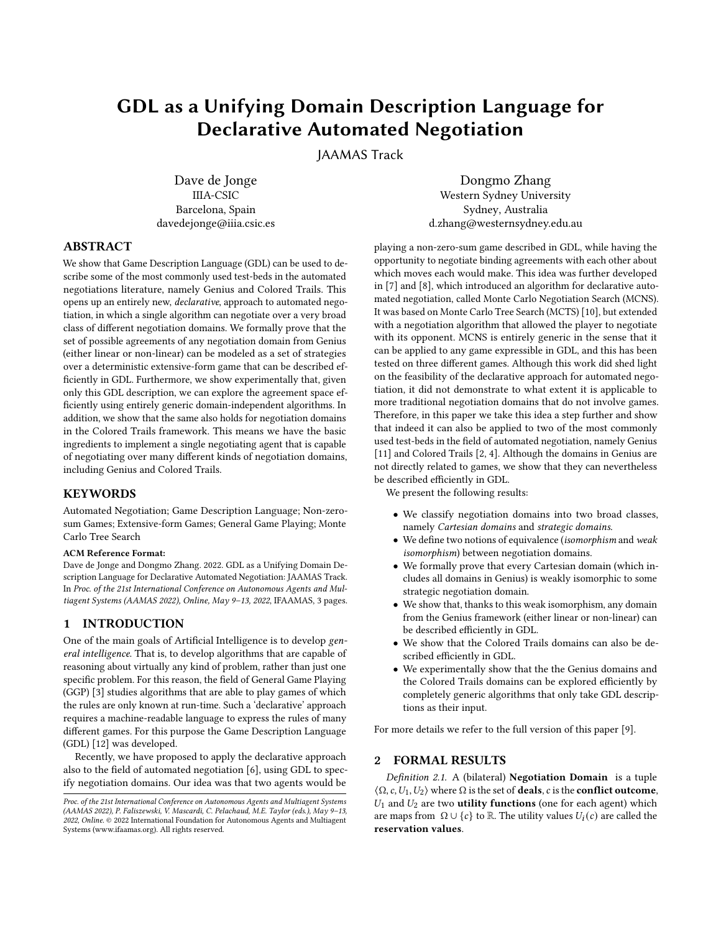# GDL as a Unifying Domain Description Language for Declarative Automated Negotiation

JAAMAS Track

Dave de Jonge IIIA-CSIC Barcelona, Spain davedejonge@iiia.csic.es

Dongmo Zhang Western Sydney University Sydney, Australia d.zhang@westernsydney.edu.au

# ABSTRACT

We show that Game Description Language (GDL) can be used to describe some of the most commonly used test-beds in the automated negotiations literature, namely Genius and Colored Trails. This opens up an entirely new, declarative, approach to automated negotiation, in which a single algorithm can negotiate over a very broad class of different negotiation domains. We formally prove that the set of possible agreements of any negotiation domain from Genius (either linear or non-linear) can be modeled as a set of strategies over a deterministic extensive-form game that can be described efficiently in GDL. Furthermore, we show experimentally that, given only this GDL description, we can explore the agreement space efficiently using entirely generic domain-independent algorithms. In addition, we show that the same also holds for negotiation domains in the Colored Trails framework. This means we have the basic ingredients to implement a single negotiating agent that is capable of negotiating over many different kinds of negotiation domains, including Genius and Colored Trails.

#### KEYWORDS

Automated Negotiation; Game Description Language; Non-zerosum Games; Extensive-form Games; General Game Playing; Monte Carlo Tree Search

#### ACM Reference Format:

Dave de Jonge and Dongmo Zhang. 2022. GDL as a Unifying Domain Description Language for Declarative Automated Negotiation: JAAMAS Track. In Proc. of the 21st International Conference on Autonomous Agents and Multiagent Systems (AAMAS 2022), Online, May 9–13, 2022, IFAAMAS, [3](#page-2-0) pages.

# 1 INTRODUCTION

One of the main goals of Artificial Intelligence is to develop general intelligence. That is, to develop algorithms that are capable of reasoning about virtually any kind of problem, rather than just one specific problem. For this reason, the field of General Game Playing (GGP) [\[3\]](#page-2-1) studies algorithms that are able to play games of which the rules are only known at run-time. Such a 'declarative' approach requires a machine-readable language to express the rules of many different games. For this purpose the Game Description Language (GDL) [\[12\]](#page-2-2) was developed.

Recently, we have proposed to apply the declarative approach also to the field of automated negotiation [\[6\]](#page-2-3), using GDL to specify negotiation domains. Our idea was that two agents would be

playing a non-zero-sum game described in GDL, while having the opportunity to negotiate binding agreements with each other about which moves each would make. This idea was further developed in [\[7\]](#page-2-4) and [\[8\]](#page-2-5), which introduced an algorithm for declarative automated negotiation, called Monte Carlo Negotiation Search (MCNS). It was based on Monte Carlo Tree Search (MCTS) [\[10\]](#page-2-6), but extended with a negotiation algorithm that allowed the player to negotiate with its opponent. MCNS is entirely generic in the sense that it can be applied to any game expressible in GDL, and this has been tested on three different games. Although this work did shed light on the feasibility of the declarative approach for automated negotiation, it did not demonstrate to what extent it is applicable to more traditional negotiation domains that do not involve games. Therefore, in this paper we take this idea a step further and show that indeed it can also be applied to two of the most commonly used test-beds in the field of automated negotiation, namely Genius [\[11\]](#page-2-7) and Colored Trails [\[2,](#page-2-8) [4\]](#page-2-9). Although the domains in Genius are not directly related to games, we show that they can nevertheless be described efficiently in GDL.

We present the following results:

- We classify negotiation domains into two broad classes, namely Cartesian domains and strategic domains.
- We define two notions of equivalence (isomorphism and weak isomorphism) between negotiation domains.
- We formally prove that every Cartesian domain (which includes all domains in Genius) is weakly isomorphic to some strategic negotiation domain.
- We show that, thanks to this weak isomorphism, any domain from the Genius framework (either linear or non-linear) can be described efficiently in GDL.
- We show that the Colored Trails domains can also be described efficiently in GDL.
- We experimentally show that the the Genius domains and the Colored Trails domains can be explored efficiently by completely generic algorithms that only take GDL descriptions as their input.

For more details we refer to the full version of this paper [\[9\]](#page-2-10).

# 2 FORMAL RESULTS

Definition 2.1. A (bilateral) Negotiation Domain is a tuple  $\langle \Omega, c, U_1, U_2 \rangle$  where  $\Omega$  is the set of **deals**, c is the **conflict outcome**,  $U_1$  and  $U_2$  are two **utility functions** (one for each agent) which are maps from  $\Omega \cup \{c\}$  to R. The utility values  $U_i(c)$  are called the reservation values.

Proc. of the 21st International Conference on Autonomous Agents and Multiagent Systems (AAMAS 2022), P. Faliszewski, V. Mascardi, C. Pelachaud, M.E. Taylor (eds.), May 9–13, 2022, Online. © 2022 International Foundation for Autonomous Agents and Multiagent Systems (www.ifaamas.org). All rights reserved.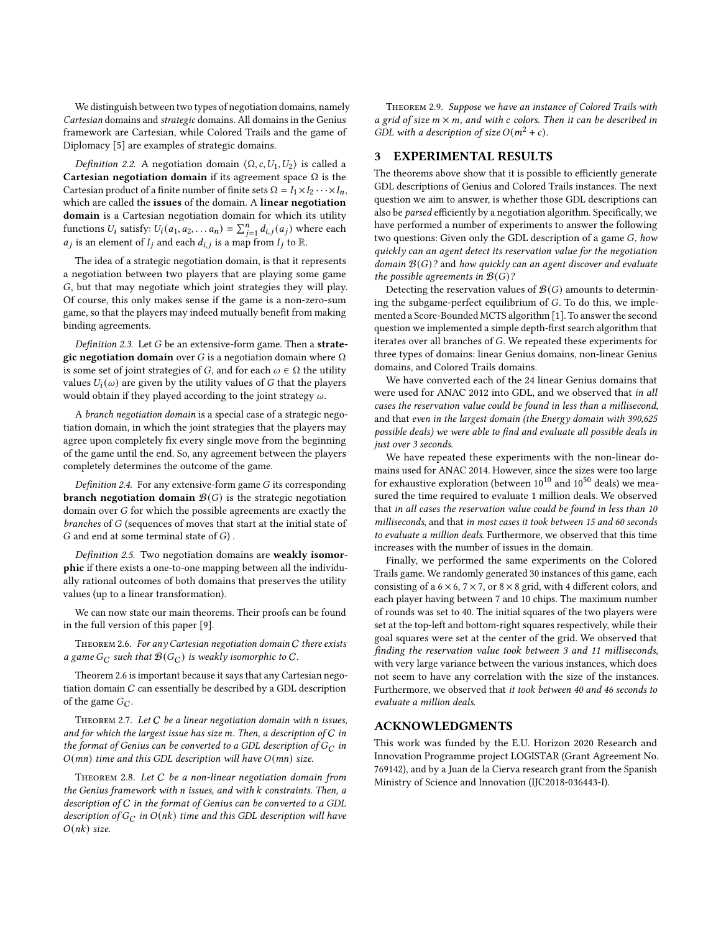We distinguish between two types of negotiation domains, namely Cartesian domains and strategic domains. All domains in the Genius framework are Cartesian, while Colored Trails and the game of Diplomacy [\[5\]](#page-2-11) are examples of strategic domains.

Definition 2.2. A negotiation domain  $\langle \Omega, c, U_1, U_2 \rangle$  is called a Cartesian negotiation domain if its agreement space  $\Omega$  is the Cartesian product of a finite number of finite sets  $\Omega = I_1 \times I_2 \cdots \times I_n$ , which are called the issues of the domain. A linear negotiation domain is a Cartesian negotiation domain for which its utility functions  $U_i$  satisfy:  $U_i(a_1, a_2, \ldots a_n) = \sum_{j=1}^n d_{i,j}(a_j)$  where each  $a_i$  is an element of  $I_i$  and each  $d_{i,i}$  is a map from  $I_i$  to  $\mathbb{R}$ .

The idea of a strategic negotiation domain, is that it represents a negotiation between two players that are playing some game , but that may negotiate which joint strategies they will play. Of course, this only makes sense if the game is a non-zero-sum game, so that the players may indeed mutually benefit from making binding agreements.

Definition 2.3. Let  $G$  be an extensive-form game. Then a strategic negotiation domain over G is a negotiation domain where  $\Omega$ is some set of joint strategies of G, and for each  $\omega \in \Omega$  the utility values  $U_i(\omega)$  are given by the utility values of G that the players would obtain if they played according to the joint strategy  $\omega$ .

A branch negotiation domain is a special case of a strategic negotiation domain, in which the joint strategies that the players may agree upon completely fix every single move from the beginning of the game until the end. So, any agreement between the players completely determines the outcome of the game.

Definition 2.4. For any extensive-form game  $G$  its corresponding **branch negotiation domain**  $\mathcal{B}(G)$  is the strategic negotiation domain over  $G$  for which the possible agreements are exactly the branches of G (sequences of moves that start at the initial state of  $G$  and end at some terminal state of  $G$ ).

Definition 2.5. Two negotiation domains are weakly isomorphic if there exists a one-to-one mapping between all the individually rational outcomes of both domains that preserves the utility values (up to a linear transformation).

We can now state our main theorems. Their proofs can be found in the full version of this paper [\[9\]](#page-2-10).

<span id="page-1-0"></span>Theorem 2.6. For any Cartesian negotiation domain C there exists a game  $G_C$  such that  $\mathcal{B}(G_C)$  is weakly isomorphic to C.

Theorem [2.6](#page-1-0) is important because it says that any Cartesian negotiation domain C can essentially be described by a GDL description of the game  $G_C$ .

THEOREM 2.7. Let  $C$  be a linear negotiation domain with  $n$  issues, and for which the largest issue has size  $m$ . Then, a description of  $C$  in the format of Genius can be converted to a GDL description of  $G_C$  in  $O(mn)$  time and this GDL description will have  $O(mn)$  size.

Theorem 2.8. Let C be a non-linear negotiation domain from the Genius framework with n issues, and with k constraints. Then, a description of C in the format of Genius can be converted to a GDL description of  $G_C$  in  $O(nk)$  time and this GDL description will have  $O(nk)$  size.

Theorem 2.9. Suppose we have an instance of Colored Trails with a grid of size  $m \times m$ , and with c colors. Then it can be described in GDL with a description of size  $O(m^2 + c)$ .

## 3 EXPERIMENTAL RESULTS

The theorems above show that it is possible to efficiently generate GDL descriptions of Genius and Colored Trails instances. The next question we aim to answer, is whether those GDL descriptions can also be parsed efficiently by a negotiation algorithm. Specifically, we have performed a number of experiments to answer the following two questions: Given only the GDL description of a game  $G$ , how quickly can an agent detect its reservation value for the negotiation domain  $\mathcal{B}(G)$ ? and how quickly can an agent discover and evaluate the possible agreements in  $\mathcal{B}(G)$ ?

Detecting the reservation values of  $\mathcal{B}(G)$  amounts to determining the subgame-perfect equilibrium of  $G$ . To do this, we implemented a Score-Bounded MCTS algorithm [\[1\]](#page-2-12). To answer the second question we implemented a simple depth-first search algorithm that iterates over all branches of  $G$ . We repeated these experiments for three types of domains: linear Genius domains, non-linear Genius domains, and Colored Trails domains.

We have converted each of the 24 linear Genius domains that were used for ANAC 2012 into GDL, and we observed that in all cases the reservation value could be found in less than a millisecond, and that even in the largest domain (the Energy domain with 390,625 possible deals) we were able to find and evaluate all possible deals in just over 3 seconds.

We have repeated these experiments with the non-linear domains used for ANAC 2014. However, since the sizes were too large for exhaustive exploration (between  $10^{10}$  and  $10^{50}$  deals) we measured the time required to evaluate 1 million deals. We observed that in all cases the reservation value could be found in less than 10 milliseconds, and that in most cases it took between 15 and 60 seconds to evaluate a million deals. Furthermore, we observed that this time increases with the number of issues in the domain.

Finally, we performed the same experiments on the Colored Trails game. We randomly generated 30 instances of this game, each consisting of a  $6 \times 6$ ,  $7 \times 7$ , or  $8 \times 8$  grid, with 4 different colors, and each player having between 7 and 10 chips. The maximum number of rounds was set to 40. The initial squares of the two players were set at the top-left and bottom-right squares respectively, while their goal squares were set at the center of the grid. We observed that finding the reservation value took between 3 and 11 milliseconds, with very large variance between the various instances, which does not seem to have any correlation with the size of the instances. Furthermore, we observed that it took between 40 and 46 seconds to evaluate a million deals.

## ACKNOWLEDGMENTS

This work was funded by the E.U. Horizon 2020 Research and Innovation Programme project LOGISTAR (Grant Agreement No. 769142), and by a Juan de la Cierva research grant from the Spanish Ministry of Science and Innovation (IJC2018-036443-I).